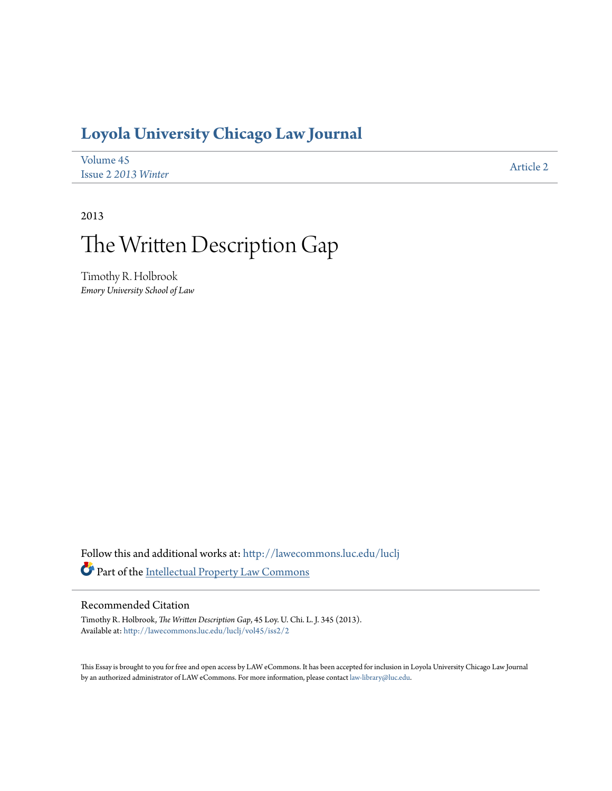## **[Loyola University Chicago Law Journal](http://lawecommons.luc.edu/luclj?utm_source=lawecommons.luc.edu%2Fluclj%2Fvol45%2Fiss2%2F2&utm_medium=PDF&utm_campaign=PDFCoverPages)**

| Volume 45           | Article 2 |
|---------------------|-----------|
| Issue 2 2013 Winter |           |

2013

# The Written Description Gap

Timothy R. Holbrook *Emory University School of Law*

Follow this and additional works at: [http://lawecommons.luc.edu/luclj](http://lawecommons.luc.edu/luclj?utm_source=lawecommons.luc.edu%2Fluclj%2Fvol45%2Fiss2%2F2&utm_medium=PDF&utm_campaign=PDFCoverPages) Part of the [Intellectual Property Law Commons](http://network.bepress.com/hgg/discipline/896?utm_source=lawecommons.luc.edu%2Fluclj%2Fvol45%2Fiss2%2F2&utm_medium=PDF&utm_campaign=PDFCoverPages)

#### Recommended Citation

Timothy R. Holbrook, *The Written Description Gap*, 45 Loy. U. Chi. L. J. 345 (2013). Available at: [http://lawecommons.luc.edu/luclj/vol45/iss2/2](http://lawecommons.luc.edu/luclj/vol45/iss2/2?utm_source=lawecommons.luc.edu%2Fluclj%2Fvol45%2Fiss2%2F2&utm_medium=PDF&utm_campaign=PDFCoverPages)

This Essay is brought to you for free and open access by LAW eCommons. It has been accepted for inclusion in Loyola University Chicago Law Journal by an authorized administrator of LAW eCommons. For more information, please contact [law-library@luc.edu](mailto:law-library@luc.edu).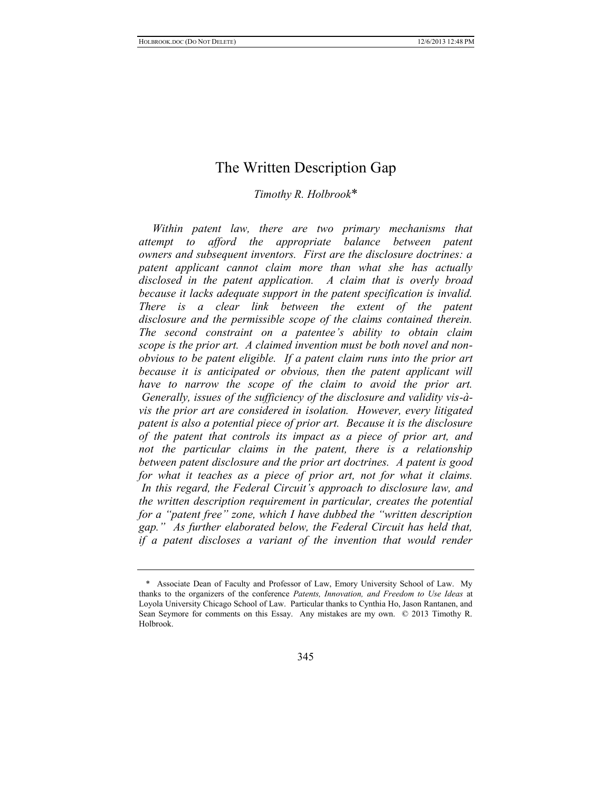### The Written Description Gap

#### *Timothy R. Holbrook*\*

*Within patent law, there are two primary mechanisms that attempt to afford the appropriate balance between patent owners and subsequent inventors. First are the disclosure doctrines: a patent applicant cannot claim more than what she has actually disclosed in the patent application. A claim that is overly broad because it lacks adequate support in the patent specification is invalid. There is a clear link between the extent of the patent disclosure and the permissible scope of the claims contained therein. The second constraint on a patentee's ability to obtain claim scope is the prior art. A claimed invention must be both novel and nonobvious to be patent eligible. If a patent claim runs into the prior art because it is anticipated or obvious, then the patent applicant will have to narrow the scope of the claim to avoid the prior art. Generally, issues of the sufficiency of the disclosure and validity vis-àvis the prior art are considered in isolation. However, every litigated patent is also a potential piece of prior art. Because it is the disclosure of the patent that controls its impact as a piece of prior art, and not the particular claims in the patent, there is a relationship between patent disclosure and the prior art doctrines. A patent is good for what it teaches as a piece of prior art, not for what it claims. In this regard, the Federal Circuit's approach to disclosure law, and the written description requirement in particular, creates the potential for a "patent free" zone, which I have dubbed the "written description gap." As further elaborated below, the Federal Circuit has held that, if a patent discloses a variant of the invention that would render* 

<sup>\*</sup> Associate Dean of Faculty and Professor of Law, Emory University School of Law. My thanks to the organizers of the conference *Patents, Innovation, and Freedom to Use Ideas* at Loyola University Chicago School of Law. Particular thanks to Cynthia Ho, Jason Rantanen, and Sean Seymore for comments on this Essay. Any mistakes are my own. © 2013 Timothy R. Holbrook.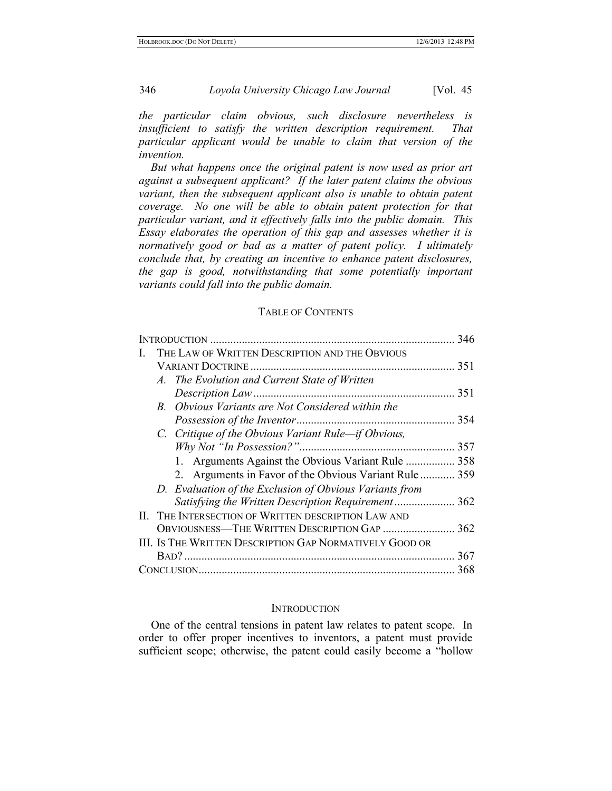*the particular claim obvious, such disclosure nevertheless is insufficient to satisfy the written description requirement. That particular applicant would be unable to claim that version of the invention.*

*But what happens once the original patent is now used as prior art against a subsequent applicant? If the later patent claims the obvious variant, then the subsequent applicant also is unable to obtain patent coverage. No one will be able to obtain patent protection for that particular variant, and it effectively falls into the public domain. This Essay elaborates the operation of this gap and assesses whether it is normatively good or bad as a matter of patent policy. I ultimately conclude that, by creating an incentive to enhance patent disclosures, the gap is good, notwithstanding that some potentially important variants could fall into the public domain.*

#### TABLE OF CONTENTS

|  |                                                         | 346 |
|--|---------------------------------------------------------|-----|
|  | THE LAW OF WRITTEN DESCRIPTION AND THE OBVIOUS          |     |
|  |                                                         | 351 |
|  | A. The Evolution and Current State of Written           |     |
|  |                                                         | 351 |
|  | B. Obvious Variants are Not Considered within the       |     |
|  |                                                         | 354 |
|  | C. Critique of the Obvious Variant Rule—if Obvious,     |     |
|  |                                                         | 357 |
|  | 1. Arguments Against the Obvious Variant Rule  358      |     |
|  | 2. Arguments in Favor of the Obvious Variant Rule  359  |     |
|  | D. Evaluation of the Exclusion of Obvious Variants from |     |
|  | Satisfying the Written Description Requirement 362      |     |
|  | II. THE INTERSECTION OF WRITTEN DESCRIPTION LAW AND     |     |
|  | OBVIOUSNESS-THE WRITTEN DESCRIPTION GAP                 | 362 |
|  | III. IS THE WRITTEN DESCRIPTION GAP NORMATIVELY GOOD OR |     |
|  |                                                         | 367 |
|  |                                                         | 368 |

#### **INTRODUCTION**

One of the central tensions in patent law relates to patent scope. In order to offer proper incentives to inventors, a patent must provide sufficient scope; otherwise, the patent could easily become a "hollow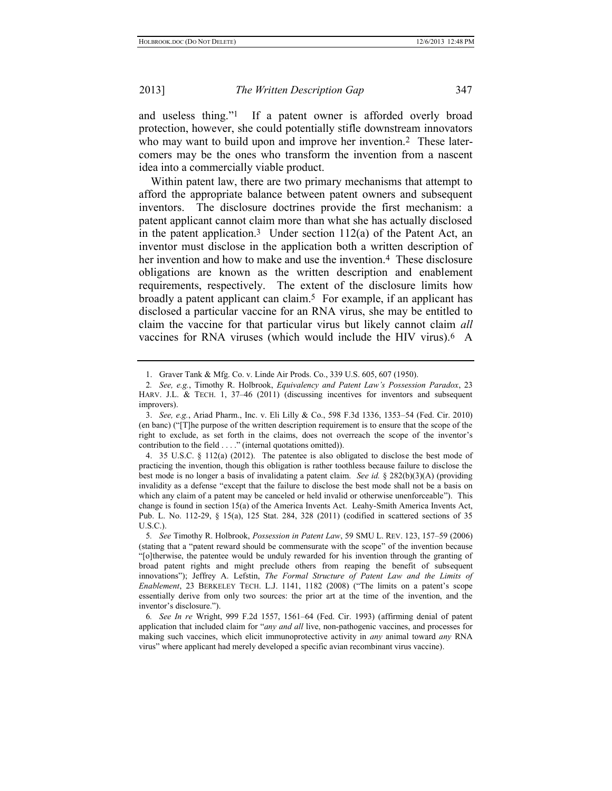<span id="page-3-1"></span>and useless thing."1 If a patent owner is afforded overly broad protection, however, she could potentially stifle downstream innovators who may want to build upon and improve her invention.<sup>2</sup> These latercomers may be the ones who transform the invention from a nascent idea into a commercially viable product.

Within patent law, there are two primary mechanisms that attempt to afford the appropriate balance between patent owners and subsequent inventors. The disclosure doctrines provide the first mechanism: a patent applicant cannot claim more than what she has actually disclosed in the patent application.<sup>3</sup> Under section  $112(a)$  of the Patent Act, an inventor must disclose in the application both a written description of her invention and how to make and use the invention.<sup>4</sup> These disclosure obligations are known as the written description and enablement requirements, respectively. The extent of the disclosure limits how broadly a patent applicant can claim.5 For example, if an applicant has disclosed a particular vaccine for an RNA virus, she may be entitled to claim the vaccine for that particular virus but likely cannot claim *all*  vaccines for RNA viruses (which would include the HIV virus).6 A

<span id="page-3-0"></span><sup>1.</sup> Graver Tank & Mfg. Co. v. Linde Air Prods. Co., 339 U.S. 605, 607 (1950).

<sup>2</sup>*. See, e.g.*, Timothy R. Holbrook, *Equivalency and Patent Law's Possession Paradox*, 23 HARV. J.L. & TECH. 1, 37–46 (2011) (discussing incentives for inventors and subsequent improvers).

<sup>3.</sup> *See, e.g.*, Ariad Pharm., Inc. v. Eli Lilly & Co., 598 F.3d 1336, 1353–54 (Fed. Cir. 2010) (en banc) ("[T]he purpose of the written description requirement is to ensure that the scope of the right to exclude, as set forth in the claims, does not overreach the scope of the inventor's contribution to the field . . . ." (internal quotations omitted)).

<sup>4.</sup> 35 U.S.C. § 112(a) (2012). The patentee is also obligated to disclose the best mode of practicing the invention, though this obligation is rather toothless because failure to disclose the best mode is no longer a basis of invalidating a patent claim. *See id.* § 282(b)(3)(A) (providing invalidity as a defense "except that the failure to disclose the best mode shall not be a basis on which any claim of a patent may be canceled or held invalid or otherwise unenforceable"). This change is found in section 15(a) of the America Invents Act. Leahy-Smith America Invents Act, Pub. L. No. 112-29, § 15(a), 125 Stat. 284, 328 (2011) (codified in scattered sections of 35 U.S.C.).

<sup>5</sup>*. See* Timothy R. Holbrook, *Possession in Patent Law*, 59 SMU L. REV. 123, 157–59 (2006) (stating that a "patent reward should be commensurate with the scope" of the invention because "[o]therwise, the patentee would be unduly rewarded for his invention through the granting of broad patent rights and might preclude others from reaping the benefit of subsequent innovations"); Jeffrey A. Lefstin, *The Formal Structure of Patent Law and the Limits of Enablement*, 23 BERKELEY TECH. L.J. 1141, 1182 (2008) ("The limits on a patent's scope essentially derive from only two sources: the prior art at the time of the invention, and the inventor's disclosure.").

<sup>6</sup>*. See In re* Wright, 999 F.2d 1557, 1561–64 (Fed. Cir. 1993) (affirming denial of patent application that included claim for "*any and all* live, non-pathogenic vaccines, and processes for making such vaccines, which elicit immunoprotective activity in *any* animal toward *any* RNA virus" where applicant had merely developed a specific avian recombinant virus vaccine).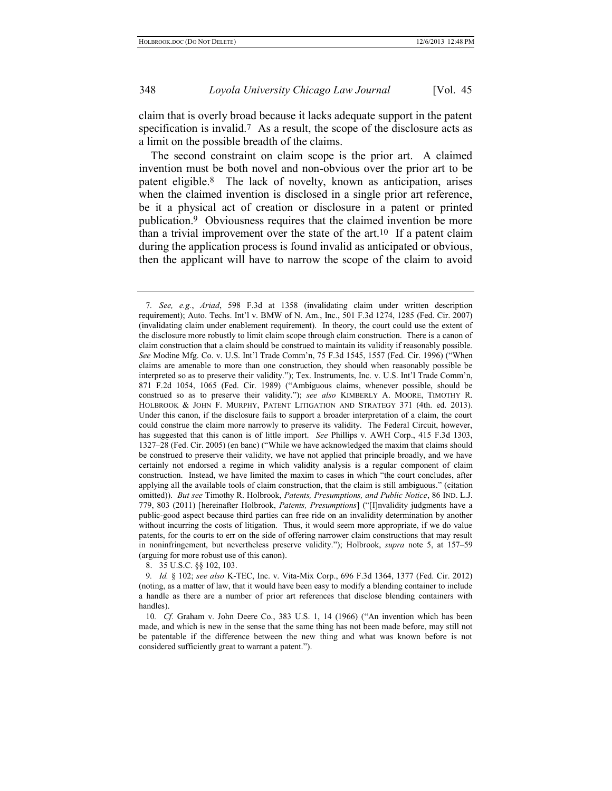<span id="page-4-0"></span>claim that is overly broad because it lacks adequate support in the patent specification is invalid.<sup>7</sup> As a result, the scope of the disclosure acts as a limit on the possible breadth of the claims.

The second constraint on claim scope is the prior art. A claimed invention must be both novel and non-obvious over the prior art to be patent eligible.8 The lack of novelty, known as anticipation, arises when the claimed invention is disclosed in a single prior art reference, be it a physical act of creation or disclosure in a patent or printed publication.9 Obviousness requires that the claimed invention be more than a trivial improvement over the state of the art.10 If a patent claim during the application process is found invalid as anticipated or obvious, then the applicant will have to narrow the scope of the claim to avoid

8. 35 U.S.C. §§ 102, 103.

<sup>7</sup>*. See, e.g.*, *Ariad*, 598 F.3d at 1358 (invalidating claim under written description requirement); Auto. Techs. Int'l v. BMW of N. Am., Inc., 501 F.3d 1274, 1285 (Fed. Cir. 2007) (invalidating claim under enablement requirement). In theory, the court could use the extent of the disclosure more robustly to limit claim scope through claim construction. There is a canon of claim construction that a claim should be construed to maintain its validity if reasonably possible. *See* Modine Mfg. Co. v. U.S. Int'l Trade Comm'n, 75 F.3d 1545, 1557 (Fed. Cir. 1996) ("When claims are amenable to more than one construction, they should when reasonably possible be interpreted so as to preserve their validity."); Tex. Instruments, Inc. v. U.S. Int'l Trade Comm'n, 871 F.2d 1054, 1065 (Fed. Cir. 1989) ("Ambiguous claims, whenever possible, should be construed so as to preserve their validity."); *see also* KIMBERLY A. MOORE, TIMOTHY R. HOLBROOK & JOHN F. MURPHY, PATENT LITIGATION AND STRATEGY 371 (4th. ed. 2013). Under this canon, if the disclosure fails to support a broader interpretation of a claim, the court could construe the claim more narrowly to preserve its validity. The Federal Circuit, however, has suggested that this canon is of little import. *See* Phillips v. AWH Corp., 415 F.3d 1303, 1327–28 (Fed. Cir. 2005) (en banc) ("While we have acknowledged the maxim that claims should be construed to preserve their validity, we have not applied that principle broadly, and we have certainly not endorsed a regime in which validity analysis is a regular component of claim construction. Instead, we have limited the maxim to cases in which "the court concludes, after applying all the available tools of claim construction, that the claim is still ambiguous." (citation omitted)). *But see* Timothy R. Holbrook, *Patents, Presumptions, and Public Notice*, 86 IND. L.J. 779, 803 (2011) [hereinafter Holbrook, *Patents, Presumptions*] ("[I]nvalidity judgments have a public-good aspect because third parties can free ride on an invalidity determination by another without incurring the costs of litigation. Thus, it would seem more appropriate, if we do value patents, for the courts to err on the side of offering narrower claim constructions that may result in noninfringement, but nevertheless preserve validity."); Holbrook, *supra* note [5,](#page-3-0) at 157–59 (arguing for more robust use of this canon).

<sup>9</sup>*. Id.* § 102; *see also* K-TEC, Inc. v. Vita-Mix Corp., 696 F.3d 1364, 1377 (Fed. Cir. 2012) (noting, as a matter of law, that it would have been easy to modify a blending container to include a handle as there are a number of prior art references that disclose blending containers with handles).

<sup>10</sup>*. Cf.* Graham v. John Deere Co., 383 U.S. 1, 14 (1966) ("An invention which has been made, and which is new in the sense that the same thing has not been made before, may still not be patentable if the difference between the new thing and what was known before is not considered sufficiently great to warrant a patent.").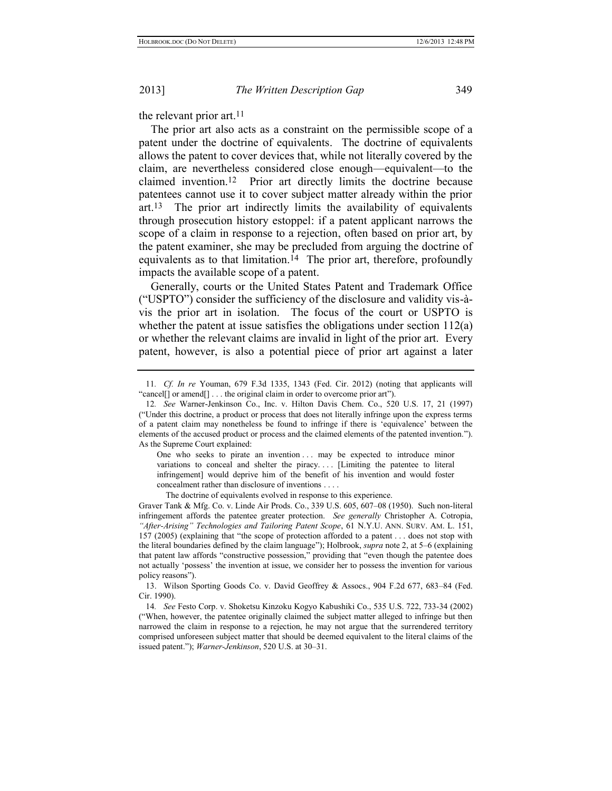the relevant prior art.<sup>11</sup>

The prior art also acts as a constraint on the permissible scope of a patent under the doctrine of equivalents. The doctrine of equivalents allows the patent to cover devices that, while not literally covered by the claim, are nevertheless considered close enough—equivalent—to the claimed invention.12 Prior art directly limits the doctrine because patentees cannot use it to cover subject matter already within the prior art. 13 The prior art indirectly limits the availability of equivalents through prosecution history estoppel: if a patent applicant narrows the scope of a claim in response to a rejection, often based on prior art, by the patent examiner, she may be precluded from arguing the doctrine of equivalents as to that limitation.14 The prior art, therefore, profoundly impacts the available scope of a patent.

Generally, courts or the United States Patent and Trademark Office ("USPTO") consider the sufficiency of the disclosure and validity vis-àvis the prior art in isolation. The focus of the court or USPTO is whether the patent at issue satisfies the obligations under section 112(a) or whether the relevant claims are invalid in light of the prior art. Every patent, however, is also a potential piece of prior art against a later

One who seeks to pirate an invention ... may be expected to introduce minor variations to conceal and shelter the piracy.... [Limiting the patentee to literal infringement] would deprive him of the benefit of his invention and would foster concealment rather than disclosure of inventions . . . .

The doctrine of equivalents evolved in response to this experience.

Graver Tank & Mfg. Co. v. Linde Air Prods. Co., 339 U.S. 605, 607–08 (1950). Such non-literal infringement affords the patentee greater protection. *See generally* Christopher A. Cotropia, *"After-Arising" Technologies and Tailoring Patent Scope*, 61 N.Y.U. ANN. SURV. AM. L. 151, 157 (2005) (explaining that "the scope of protection afforded to a patent . . . does not stop with the literal boundaries defined by the claim language"); Holbrook, *supra* not[e 2,](#page-3-1) at 5–6 (explaining that patent law affords "constructive possession," providing that "even though the patentee does not actually 'possess' the invention at issue, we consider her to possess the invention for various policy reasons").

13. Wilson Sporting Goods Co. v. David Geoffrey & Assocs., 904 F.2d 677, 683–84 (Fed. Cir. 1990).

14*. See* Festo Corp. v. Shoketsu Kinzoku Kogyo Kabushiki Co., 535 U.S. 722, 733-34 (2002) ("When, however, the patentee originally claimed the subject matter alleged to infringe but then narrowed the claim in response to a rejection, he may not argue that the surrendered territory comprised unforeseen subject matter that should be deemed equivalent to the literal claims of the issued patent."); *Warner-Jenkinson*, 520 U.S. at 30–31.

<sup>11</sup>*. Cf. In re* Youman, 679 F.3d 1335, 1343 (Fed. Cir. 2012) (noting that applicants will "cancel[] or amend[] . . . the original claim in order to overcome prior art").

<sup>12</sup>*. See* Warner-Jenkinson Co., Inc. v. Hilton Davis Chem. Co., 520 U.S. 17, 21 (1997) ("Under this doctrine, a product or process that does not literally infringe upon the express terms of a patent claim may nonetheless be found to infringe if there is 'equivalence' between the elements of the accused product or process and the claimed elements of the patented invention."). As the Supreme Court explained: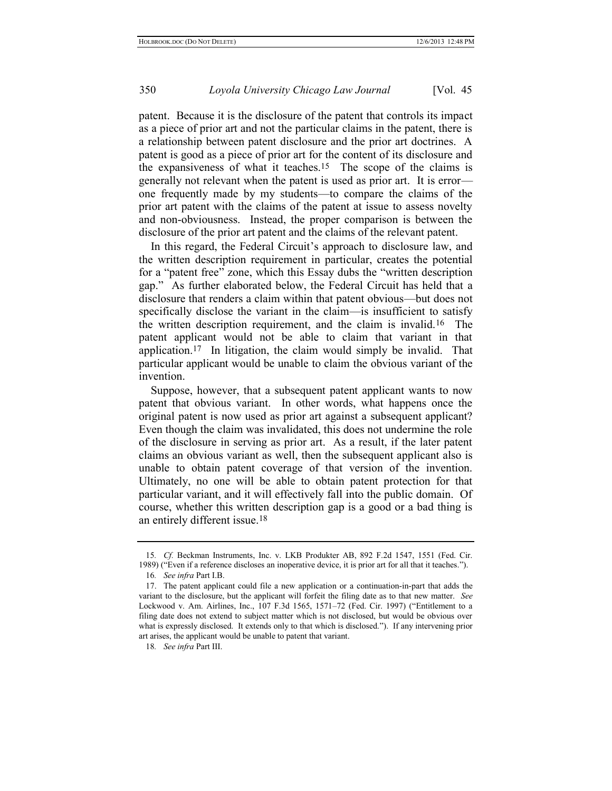patent. Because it is the disclosure of the patent that controls its impact as a piece of prior art and not the particular claims in the patent, there is a relationship between patent disclosure and the prior art doctrines. A patent is good as a piece of prior art for the content of its disclosure and the expansiveness of what it teaches.15 The scope of the claims is generally not relevant when the patent is used as prior art. It is error one frequently made by my students—to compare the claims of the prior art patent with the claims of the patent at issue to assess novelty and non-obviousness. Instead, the proper comparison is between the disclosure of the prior art patent and the claims of the relevant patent.

In this regard, the Federal Circuit's approach to disclosure law, and the written description requirement in particular, creates the potential for a "patent free" zone, which this Essay dubs the "written description gap." As further elaborated below, the Federal Circuit has held that a disclosure that renders a claim within that patent obvious—but does not specifically disclose the variant in the claim—is insufficient to satisfy the written description requirement, and the claim is invalid.16 The patent applicant would not be able to claim that variant in that application.17 In litigation, the claim would simply be invalid. That particular applicant would be unable to claim the obvious variant of the invention.

Suppose, however, that a subsequent patent applicant wants to now patent that obvious variant. In other words, what happens once the original patent is now used as prior art against a subsequent applicant? Even though the claim was invalidated, this does not undermine the role of the disclosure in serving as prior art. As a result, if the later patent claims an obvious variant as well, then the subsequent applicant also is unable to obtain patent coverage of that version of the invention. Ultimately, no one will be able to obtain patent protection for that particular variant, and it will effectively fall into the public domain. Of course, whether this written description gap is a good or a bad thing is an entirely different issue.18

<sup>15</sup>*. Cf.* Beckman Instruments, Inc. v. LKB Produkter AB, 892 F.2d 1547, 1551 (Fed. Cir. 1989) ("Even if a reference discloses an inoperative device, it is prior art for all that it teaches.").

<sup>16</sup>*. See infra* Part I.B.

<sup>17.</sup> The patent applicant could file a new application or a continuation-in-part that adds the variant to the disclosure, but the applicant will forfeit the filing date as to that new matter. *See*  Lockwood v. Am. Airlines, Inc., 107 F.3d 1565, 1571–72 (Fed. Cir. 1997) ("Entitlement to a filing date does not extend to subject matter which is not disclosed, but would be obvious over what is expressly disclosed. It extends only to that which is disclosed."). If any intervening prior art arises, the applicant would be unable to patent that variant.

<sup>18</sup>*. See infra* Part III.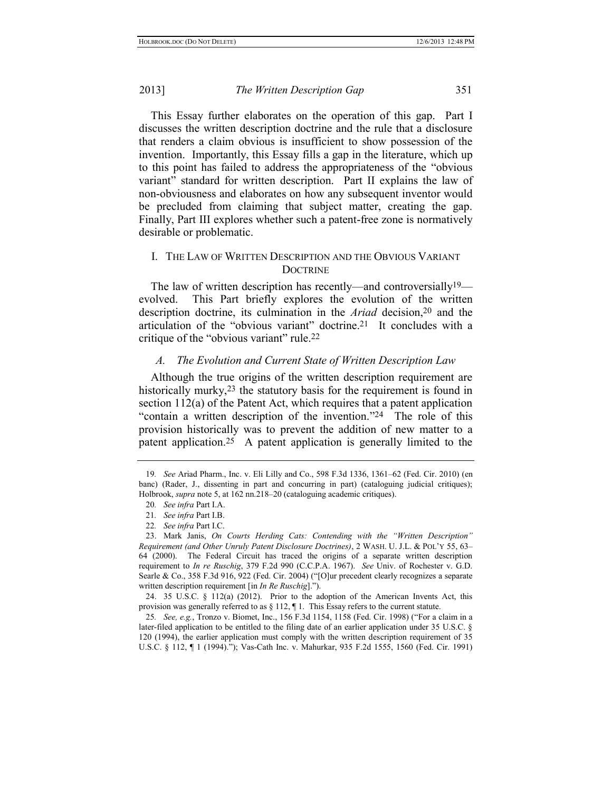This Essay further elaborates on the operation of this gap. Part I discusses the written description doctrine and the rule that a disclosure that renders a claim obvious is insufficient to show possession of the invention. Importantly, this Essay fills a gap in the literature, which up to this point has failed to address the appropriateness of the "obvious variant" standard for written description. Part II explains the law of non-obviousness and elaborates on how any subsequent inventor would be precluded from claiming that subject matter, creating the gap. Finally, Part III explores whether such a patent-free zone is normatively desirable or problematic.

#### I. THE LAW OF WRITTEN DESCRIPTION AND THE OBVIOUS VARIANT **DOCTRINE**

The law of written description has recently—and controversially<sup>19</sup> evolved. This Part briefly explores the evolution of the written description doctrine, its culmination in the *Ariad* decision,20 and the articulation of the "obvious variant" doctrine.21 It concludes with a critique of the "obvious variant" rule.22

#### <span id="page-7-1"></span>*A. The Evolution and Current State of Written Description Law*

Although the true origins of the written description requirement are historically murky,<sup>23</sup> the statutory basis for the requirement is found in section 112(a) of the Patent Act, which requires that a patent application "contain a written description of the invention."24 The role of this provision historically was to prevent the addition of new matter to a patent application.25 A patent application is generally limited to the

<span id="page-7-0"></span><sup>19</sup>*. See* Ariad Pharm., Inc. v. Eli Lilly and Co., 598 F.3d 1336, 1361–62 (Fed. Cir. 2010) (en banc) (Rader, J., dissenting in part and concurring in part) (cataloguing judicial critiques); Holbrook, *supra* not[e 5,](#page-3-0) at 162 nn.218–20 (cataloguing academic critiques).

<sup>20</sup>*. See infra* Part I.A.

<sup>21</sup>*. See infra* Part I.B.

<sup>22</sup>*. See infra* Part I.C.

<sup>23.</sup> Mark Janis, *On Courts Herding Cats: Contending with the "Written Description" Requirement (and Other Unruly Patent Disclosure Doctrines)*, 2 WASH. U. J.L. & POL'Y 55, 63– 64 (2000). The Federal Circuit has traced the origins of a separate written description requirement to *In re Ruschig*, 379 F.2d 990 (C.C.P.A. 1967). *See* Univ. of Rochester v. G.D. Searle & Co., 358 F.3d 916, 922 (Fed. Cir. 2004) ("[O]ur precedent clearly recognizes a separate written description requirement [in *In Re Ruschig*].").

<sup>24.</sup> 35 U.S.C. § 112(a) (2012). Prior to the adoption of the American Invents Act, this provision was generally referred to as  $\S 112$ ,  $\P 1$ . This Essay refers to the current statute.

<sup>25</sup>*. See, e.g.*, Tronzo v. Biomet, Inc., 156 F.3d 1154, 1158 (Fed. Cir. 1998) ("For a claim in a later-filed application to be entitled to the filing date of an earlier application under 35 U.S.C. § 120 (1994), the earlier application must comply with the written description requirement of 35 U.S.C. § 112, ¶ 1 (1994)."); Vas-Cath Inc. v. Mahurkar, 935 F.2d 1555, 1560 (Fed. Cir. 1991)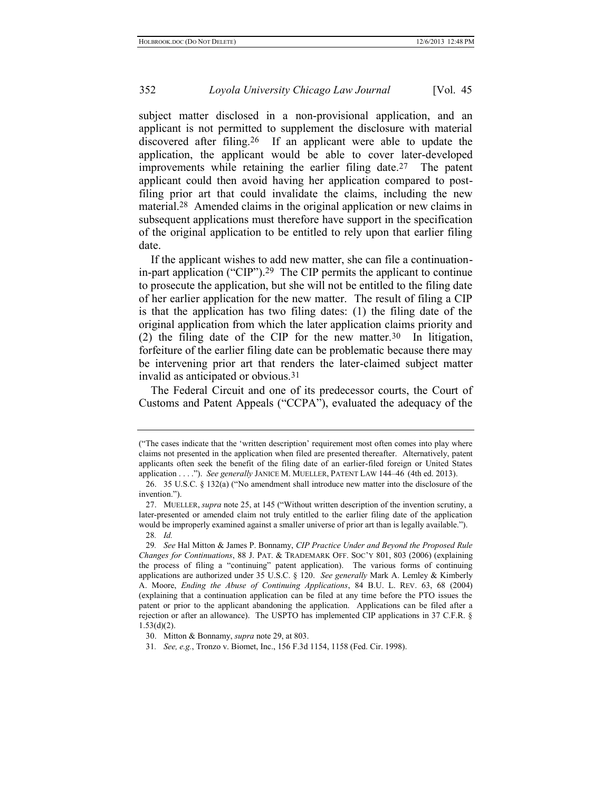352 *Loyola University Chicago Law Journal* [Vol. 45

subject matter disclosed in a non-provisional application, and an applicant is not permitted to supplement the disclosure with material discovered after filing.26 If an applicant were able to update the application, the applicant would be able to cover later-developed improvements while retaining the earlier filing date.27 The patent applicant could then avoid having her application compared to postfiling prior art that could invalidate the claims, including the new material.28 Amended claims in the original application or new claims in subsequent applications must therefore have support in the specification of the original application to be entitled to rely upon that earlier filing date.

<span id="page-8-0"></span>If the applicant wishes to add new matter, she can file a continuationin-part application ("CIP").29 The CIP permits the applicant to continue to prosecute the application, but she will not be entitled to the filing date of her earlier application for the new matter. The result of filing a CIP is that the application has two filing dates: (1) the filing date of the original application from which the later application claims priority and (2) the filing date of the CIP for the new matter.<sup>30</sup> In litigation, forfeiture of the earlier filing date can be problematic because there may be intervening prior art that renders the later-claimed subject matter invalid as anticipated or obvious.31

The Federal Circuit and one of its predecessor courts, the Court of Customs and Patent Appeals ("CCPA"), evaluated the adequacy of the

<sup>(</sup>"The cases indicate that the 'written description' requirement most often comes into play where claims not presented in the application when filed are presented thereafter. Alternatively, patent applicants often seek the benefit of the filing date of an earlier-filed foreign or United States application . . . ."). *See generally* JANICE M. MUELLER, PATENT LAW 144–46 (4th ed. 2013).

<sup>26.</sup> 35 U.S.C. § 132(a) ("No amendment shall introduce new matter into the disclosure of the invention.").

<sup>27.</sup> MUELLER, *supra* note [25,](#page-7-0) at 145 ("Without written description of the invention scrutiny, a later-presented or amended claim not truly entitled to the earlier filing date of the application would be improperly examined against a smaller universe of prior art than is legally available."). 28*. Id.*

<sup>29</sup>*. See* Hal Mitton & James P. Bonnamy, *CIP Practice Under and Beyond the Proposed Rule Changes for Continuations*, 88 J. PAT. & TRADEMARK OFF. SOC'Y 801, 803 (2006) (explaining the process of filing a "continuing" patent application). The various forms of continuing applications are authorized under 35 U.S.C. § 120. *See generally* Mark A. Lemley & Kimberly A. Moore, *Ending the Abuse of Continuing Applications*, 84 B.U. L. REV. 63, 68 (2004) (explaining that a continuation application can be filed at any time before the PTO issues the patent or prior to the applicant abandoning the application. Applications can be filed after a rejection or after an allowance). The USPTO has implemented CIP applications in 37 C.F.R. §  $1.53(d)(2)$ .

<sup>30.</sup> Mitton & Bonnamy, *supra* note [29,](#page-8-0) at 803.

<sup>31</sup>*. See, e.g.*, Tronzo v. Biomet, Inc., 156 F.3d 1154, 1158 (Fed. Cir. 1998).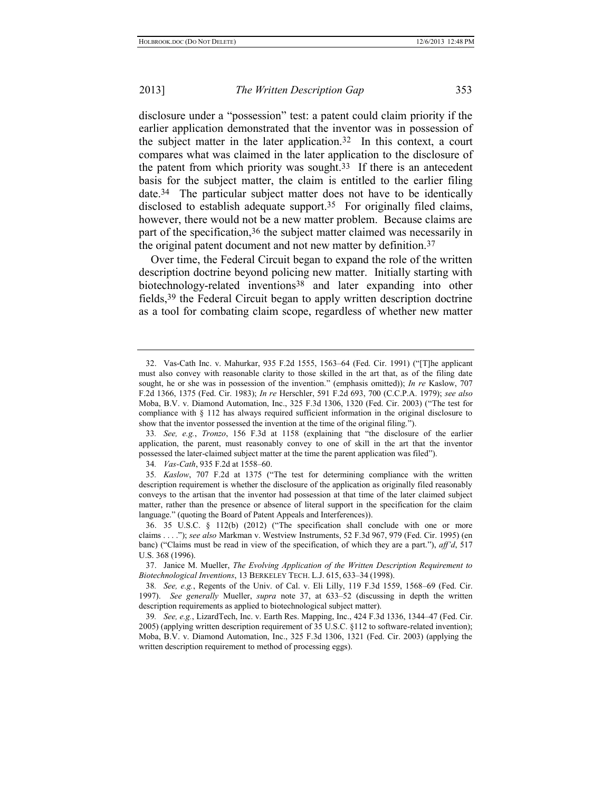disclosure under a "possession" test: a patent could claim priority if the earlier application demonstrated that the inventor was in possession of the subject matter in the later application.32 In this context, a court compares what was claimed in the later application to the disclosure of the patent from which priority was sought.33 If there is an antecedent basis for the subject matter, the claim is entitled to the earlier filing date.34 The particular subject matter does not have to be identically disclosed to establish adequate support.35 For originally filed claims, however, there would not be a new matter problem. Because claims are part of the specification,36 the subject matter claimed was necessarily in the original patent document and not new matter by definition.37

<span id="page-9-0"></span>Over time, the Federal Circuit began to expand the role of the written description doctrine beyond policing new matter. Initially starting with biotechnology-related inventions<sup>38</sup> and later expanding into other fields,39 the Federal Circuit began to apply written description doctrine as a tool for combating claim scope, regardless of whether new matter

34*. Vas-Cath*, 935 F.2d at 1558–60.

<sup>32.</sup> Vas-Cath Inc. v. Mahurkar, 935 F.2d 1555, 1563–64 (Fed. Cir. 1991) ("[T]he applicant must also convey with reasonable clarity to those skilled in the art that, as of the filing date sought, he or she was in possession of the invention." (emphasis omitted)); *In re* Kaslow, 707 F.2d 1366, 1375 (Fed. Cir. 1983); *In re* Herschler, 591 F.2d 693, 700 (C.C.P.A. 1979); *see also*  Moba, B.V. v. Diamond Automation, Inc., 325 F.3d 1306, 1320 (Fed. Cir. 2003) ("The test for compliance with § 112 has always required sufficient information in the original disclosure to show that the inventor possessed the invention at the time of the original filing.").

<sup>33</sup>*. See, e.g.*, *Tronzo*, 156 F.3d at 1158 (explaining that "the disclosure of the earlier application, the parent, must reasonably convey to one of skill in the art that the inventor possessed the later-claimed subject matter at the time the parent application was filed").

<sup>35</sup>*. Kaslow*, 707 F.2d at 1375 ("The test for determining compliance with the written description requirement is whether the disclosure of the application as originally filed reasonably conveys to the artisan that the inventor had possession at that time of the later claimed subject matter, rather than the presence or absence of literal support in the specification for the claim language." (quoting the Board of Patent Appeals and Interferences)).

<sup>36.</sup> 35 U.S.C. § 112(b) (2012) ("The specification shall conclude with one or more claims . . . ."); *see also* Markman v. Westview Instruments, 52 F.3d 967, 979 (Fed. Cir. 1995) (en banc) ("Claims must be read in view of the specification, of which they are a part."), *aff'd*, 517 U.S. 368 (1996).

<sup>37.</sup> Janice M. Mueller, *The Evolving Application of the Written Description Requirement to Biotechnological Inventions*, 13 BERKELEY TECH. L.J. 615, 633–34 (1998).

<sup>38</sup>*. See, e.g.*, Regents of the Univ. of Cal. v. Eli Lilly, 119 F.3d 1559, 1568–69 (Fed. Cir. 1997). *See generally* Mueller, *supra* note [37,](#page-9-0) at 633–52 (discussing in depth the written description requirements as applied to biotechnological subject matter).

<sup>39</sup>*. See, e.g.*, LizardTech, Inc. v. Earth Res. Mapping, Inc., 424 F.3d 1336, 1344–47 (Fed. Cir. 2005) (applying written description requirement of 35 U.S.C. §112 to software-related invention); Moba, B.V. v. Diamond Automation, Inc., 325 F.3d 1306, 1321 (Fed. Cir. 2003) (applying the written description requirement to method of processing eggs).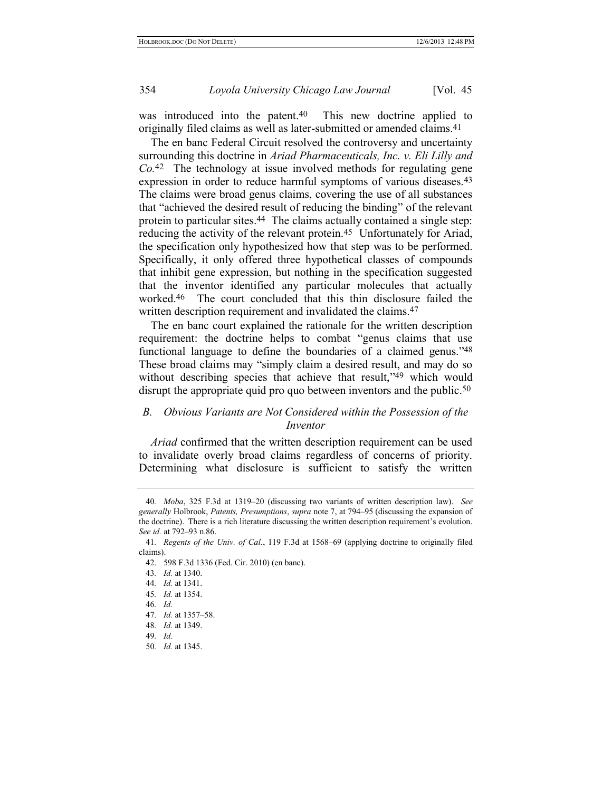was introduced into the patent.<sup>40</sup> This new doctrine applied to originally filed claims as well as later-submitted or amended claims.41

The en banc Federal Circuit resolved the controversy and uncertainty surrounding this doctrine in *Ariad Pharmaceuticals, Inc. v. Eli Lilly and Co.* 42 The technology at issue involved methods for regulating gene expression in order to reduce harmful symptoms of various diseases.<sup>43</sup> The claims were broad genus claims, covering the use of all substances that "achieved the desired result of reducing the binding" of the relevant protein to particular sites.44 The claims actually contained a single step: reducing the activity of the relevant protein.45 Unfortunately for Ariad, the specification only hypothesized how that step was to be performed. Specifically, it only offered three hypothetical classes of compounds that inhibit gene expression, but nothing in the specification suggested that the inventor identified any particular molecules that actually worked.46 The court concluded that this thin disclosure failed the written description requirement and invalidated the claims.<sup>47</sup>

The en banc court explained the rationale for the written description requirement: the doctrine helps to combat "genus claims that use functional language to define the boundaries of a claimed genus."48 These broad claims may "simply claim a desired result, and may do so without describing species that achieve that result,"49 which would disrupt the appropriate quid pro quo between inventors and the public.<sup>50</sup>

#### *B. Obvious Variants are Not Considered within the Possession of the Inventor*

*Ariad* confirmed that the written description requirement can be used to invalidate overly broad claims regardless of concerns of priority. Determining what disclosure is sufficient to satisfy the written

<sup>40</sup>*. Moba*, 325 F.3d at 1319–20 (discussing two variants of written description law). *See generally* Holbrook, *Patents, Presumptions*, *supra* not[e 7,](#page-4-0) at 794–95 (discussing the expansion of the doctrine). There is a rich literature discussing the written description requirement's evolution. *See id.* at 792–93 n.86.

<sup>41</sup>*. Regents of the Univ. of Cal.*, 119 F.3d at 1568–69 (applying doctrine to originally filed claims).

<sup>42.</sup> 598 F.3d 1336 (Fed. Cir. 2010) (en banc).

<sup>43</sup>*. Id.* at 1340.

<sup>44</sup>*. Id.* at 1341.

<sup>45</sup>*. Id.* at 1354.

<sup>46</sup>*. Id.*

<sup>47</sup>*. Id.* at 1357–58.

<sup>48</sup>*. Id.* at 1349.

<sup>49</sup>*. Id.*

<sup>50</sup>*. Id.* at 1345.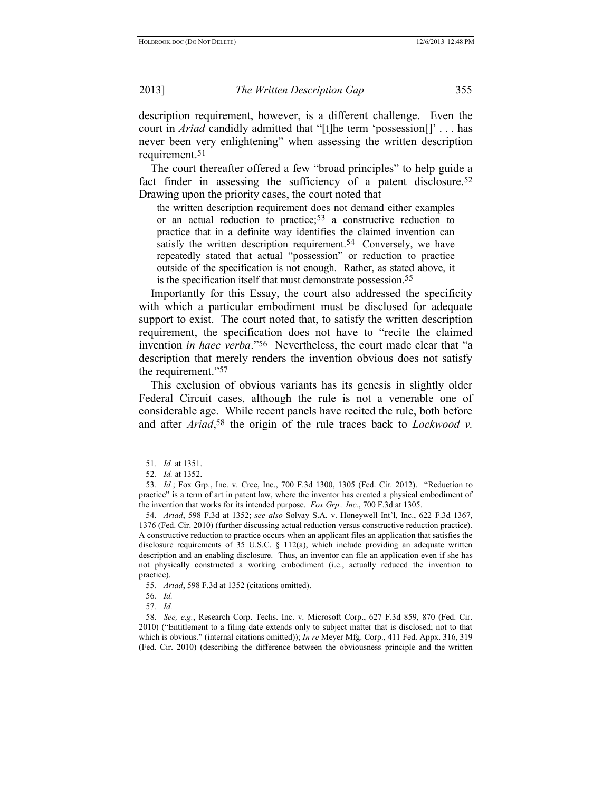description requirement, however, is a different challenge. Even the court in *Ariad* candidly admitted that "[t]he term 'possession[]' . . . has never been very enlightening" when assessing the written description requirement.51

The court thereafter offered a few "broad principles" to help guide a fact finder in assessing the sufficiency of a patent disclosure.<sup>52</sup> Drawing upon the priority cases, the court noted that

the written description requirement does not demand either examples or an actual reduction to practice; 53 a constructive reduction to practice that in a definite way identifies the claimed invention can satisfy the written description requirement.<sup>54</sup> Conversely, we have repeatedly stated that actual "possession" or reduction to practice outside of the specification is not enough. Rather, as stated above, it is the specification itself that must demonstrate possession.<sup>55</sup>

Importantly for this Essay, the court also addressed the specificity with which a particular embodiment must be disclosed for adequate support to exist. The court noted that, to satisfy the written description requirement, the specification does not have to "recite the claimed invention *in haec verba*."56 Nevertheless, the court made clear that "a description that merely renders the invention obvious does not satisfy the requirement."57

This exclusion of obvious variants has its genesis in slightly older Federal Circuit cases, although the rule is not a venerable one of considerable age. While recent panels have recited the rule, both before and after *Ariad*, 58 the origin of the rule traces back to *Lockwood v.* 

<sup>51</sup>*. Id.* at 1351.

<sup>52</sup>*. Id.* at 1352.

<sup>53</sup>*. Id.*; Fox Grp., Inc. v. Cree, Inc., 700 F.3d 1300, 1305 (Fed. Cir. 2012). "Reduction to practice" is a term of art in patent law, where the inventor has created a physical embodiment of the invention that works for its intended purpose. *Fox Grp., Inc.*, 700 F.3d at 1305.

<sup>54.</sup> *Ariad*, 598 F.3d at 1352; *see also* Solvay S.A. v. Honeywell Int'l, Inc., 622 F.3d 1367, 1376 (Fed. Cir. 2010) (further discussing actual reduction versus constructive reduction practice). A constructive reduction to practice occurs when an applicant files an application that satisfies the disclosure requirements of 35 U.S.C.  $\S$  112(a), which include providing an adequate written description and an enabling disclosure. Thus, an inventor can file an application even if she has not physically constructed a working embodiment (i.e., actually reduced the invention to practice).

<sup>55</sup>*. Ariad*, 598 F.3d at 1352 (citations omitted).

<sup>56</sup>*. Id.*

<sup>57</sup>*. Id.*

<sup>58.</sup> *See, e.g.*, Research Corp. Techs. Inc. v. Microsoft Corp., 627 F.3d 859, 870 (Fed. Cir. 2010) ("Entitlement to a filing date extends only to subject matter that is disclosed; not to that which is obvious." (internal citations omitted)); *In re* Meyer Mfg. Corp., 411 Fed. Appx. 316, 319 (Fed. Cir. 2010) (describing the difference between the obviousness principle and the written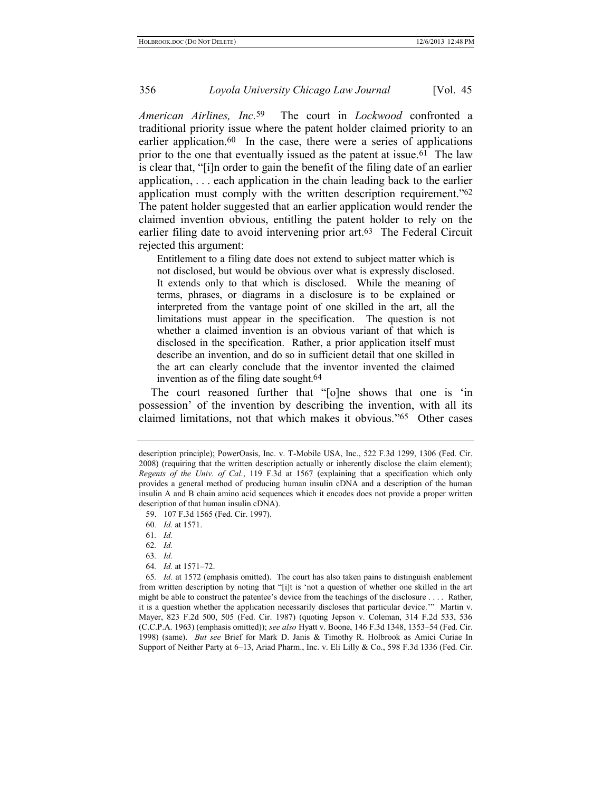*American Airlines, Inc.* 59 The court in *Lockwood* confronted a traditional priority issue where the patent holder claimed priority to an earlier application.<sup>60</sup> In the case, there were a series of applications prior to the one that eventually issued as the patent at issue.61 The law is clear that, "[i]n order to gain the benefit of the filing date of an earlier application, . . . each application in the chain leading back to the earlier application must comply with the written description requirement."62 The patent holder suggested that an earlier application would render the claimed invention obvious, entitling the patent holder to rely on the earlier filing date to avoid intervening prior art. 63 The Federal Circuit rejected this argument:

Entitlement to a filing date does not extend to subject matter which is not disclosed, but would be obvious over what is expressly disclosed. It extends only to that which is disclosed. While the meaning of terms, phrases, or diagrams in a disclosure is to be explained or interpreted from the vantage point of one skilled in the art, all the limitations must appear in the specification. The question is not whether a claimed invention is an obvious variant of that which is disclosed in the specification. Rather, a prior application itself must describe an invention, and do so in sufficient detail that one skilled in the art can clearly conclude that the inventor invented the claimed invention as of the filing date sought.<sup>64</sup>

The court reasoned further that "[o]ne shows that one is 'in possession' of the invention by describing the invention, with all its claimed limitations, not that which makes it obvious."65 Other cases

description principle); PowerOasis, Inc. v. T-Mobile USA, Inc., 522 F.3d 1299, 1306 (Fed. Cir. 2008) (requiring that the written description actually or inherently disclose the claim element); *Regents of the Univ. of Cal.*, 119 F.3d at 1567 (explaining that a specification which only provides a general method of producing human insulin cDNA and a description of the human insulin A and B chain amino acid sequences which it encodes does not provide a proper written description of that human insulin cDNA).

<sup>59.</sup> 107 F.3d 1565 (Fed. Cir. 1997).

<sup>60</sup>*. Id.* at 1571.

<sup>61</sup>*. Id.*

<sup>62</sup>*. Id.*

<sup>63</sup>*. Id.*

<sup>64</sup>*. Id.* at 1571–72.

<sup>65</sup>*. Id.* at 1572 (emphasis omitted). The court has also taken pains to distinguish enablement from written description by noting that "[i]t is 'not a question of whether one skilled in the art might be able to construct the patentee's device from the teachings of the disclosure . . . . Rather, it is a question whether the application necessarily discloses that particular device.'" Martin v. Mayer, 823 F.2d 500, 505 (Fed. Cir. 1987) (quoting Jepson v. Coleman, 314 F.2d 533, 536 (C.C.P.A. 1963) (emphasis omitted)); *see also* Hyatt v. Boone, 146 F.3d 1348, 1353–54 (Fed. Cir. 1998) (same). *But see* Brief for Mark D. Janis & Timothy R. Holbrook as Amici Curiae In Support of Neither Party at 6–13, Ariad Pharm., Inc. v. Eli Lilly & Co., 598 F.3d 1336 (Fed. Cir.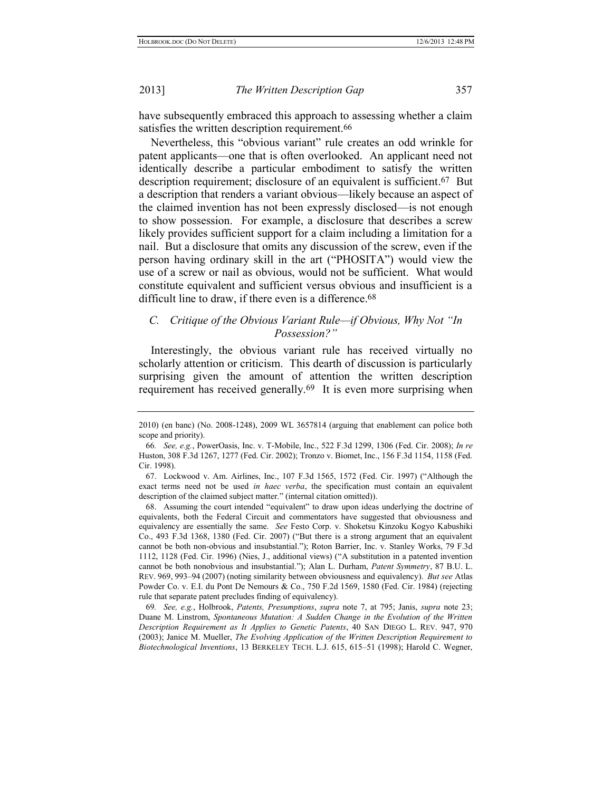have subsequently embraced this approach to assessing whether a claim satisfies the written description requirement.<sup>66</sup>

Nevertheless, this "obvious variant" rule creates an odd wrinkle for patent applicants—one that is often overlooked. An applicant need not identically describe a particular embodiment to satisfy the written description requirement; disclosure of an equivalent is sufficient. 67 But a description that renders a variant obvious—likely because an aspect of the claimed invention has not been expressly disclosed—is not enough to show possession. For example, a disclosure that describes a screw likely provides sufficient support for a claim including a limitation for a nail. But a disclosure that omits any discussion of the screw, even if the person having ordinary skill in the art ("PHOSITA") would view the use of a screw or nail as obvious, would not be sufficient. What would constitute equivalent and sufficient versus obvious and insufficient is a difficult line to draw, if there even is a difference.<sup>68</sup>

#### *C. Critique of the Obvious Variant Rule—if Obvious, Why Not "In Possession?"*

Interestingly, the obvious variant rule has received virtually no scholarly attention or criticism. This dearth of discussion is particularly surprising given the amount of attention the written description requirement has received generally.69 It is even more surprising when

<sup>2010) (</sup>en banc) (No. 2008-1248), 2009 WL 3657814 (arguing that enablement can police both scope and priority).

<sup>66</sup>*. See, e.g.*, PowerOasis, Inc. v. T-Mobile, Inc., 522 F.3d 1299, 1306 (Fed. Cir. 2008); *In re* Huston, 308 F.3d 1267, 1277 (Fed. Cir. 2002); Tronzo v. Biomet, Inc., 156 F.3d 1154, 1158 (Fed. Cir. 1998).

<sup>67.</sup> Lockwood v. Am. Airlines, Inc., 107 F.3d 1565, 1572 (Fed. Cir. 1997) ("Although the exact terms need not be used *in haec verba*, the specification must contain an equivalent description of the claimed subject matter." (internal citation omitted)).

<sup>68.</sup> Assuming the court intended "equivalent" to draw upon ideas underlying the doctrine of equivalents, both the Federal Circuit and commentators have suggested that obviousness and equivalency are essentially the same. *See* Festo Corp. v. Shoketsu Kinzoku Kogyo Kabushiki Co., 493 F.3d 1368, 1380 (Fed. Cir. 2007) ("But there is a strong argument that an equivalent cannot be both non-obvious and insubstantial."); Roton Barrier, Inc. v. Stanley Works, 79 F.3d 1112, 1128 (Fed. Cir. 1996) (Nies, J., additional views) ("A substitution in a patented invention cannot be both nonobvious and insubstantial."); Alan L. Durham, *Patent Symmetry*, 87 B.U. L. REV. 969, 993–94 (2007) (noting similarity between obviousness and equivalency). *But see* Atlas Powder Co. v. E.I. du Pont De Nemours & Co., 750 F.2d 1569, 1580 (Fed. Cir. 1984) (rejecting rule that separate patent precludes finding of equivalency).

<sup>69</sup>*. See, e.g.*, Holbrook, *Patents, Presumptions*, *supra* note [7,](#page-4-0) at 795; Janis, *supra* note [23;](#page-7-1) Duane M. Linstrom, *Spontaneous Mutation: A Sudden Change in the Evolution of the Written Description Requirement as It Applies to Genetic Patents*, 40 SAN DIEGO L. REV. 947, 970 (2003); Janice M. Mueller, *The Evolving Application of the Written Description Requirement to Biotechnological Inventions*, 13 BERKELEY TECH. L.J. 615, 615–51 (1998); Harold C. Wegner,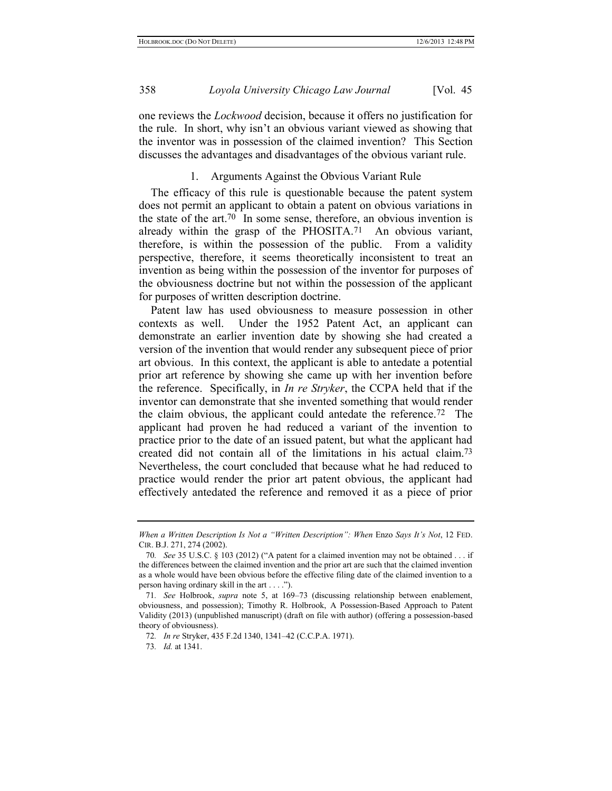one reviews the *Lockwood* decision, because it offers no justification for the rule. In short, why isn't an obvious variant viewed as showing that the inventor was in possession of the claimed invention? This Section discusses the advantages and disadvantages of the obvious variant rule.

#### 1. Arguments Against the Obvious Variant Rule

The efficacy of this rule is questionable because the patent system does not permit an applicant to obtain a patent on obvious variations in the state of the art.70 In some sense, therefore, an obvious invention is already within the grasp of the PHOSITA. 71 An obvious variant, therefore, is within the possession of the public. From a validity perspective, therefore, it seems theoretically inconsistent to treat an invention as being within the possession of the inventor for purposes of the obviousness doctrine but not within the possession of the applicant for purposes of written description doctrine.

Patent law has used obviousness to measure possession in other contexts as well. Under the 1952 Patent Act, an applicant can demonstrate an earlier invention date by showing she had created a version of the invention that would render any subsequent piece of prior art obvious. In this context, the applicant is able to antedate a potential prior art reference by showing she came up with her invention before the reference. Specifically, in *In re Stryker*, the CCPA held that if the inventor can demonstrate that she invented something that would render the claim obvious, the applicant could antedate the reference.72 The applicant had proven he had reduced a variant of the invention to practice prior to the date of an issued patent, but what the applicant had created did not contain all of the limitations in his actual claim.73 Nevertheless, the court concluded that because what he had reduced to practice would render the prior art patent obvious, the applicant had effectively antedated the reference and removed it as a piece of prior

*When a Written Description Is Not a "Written Description": When* Enzo *Says It's Not*, 12 FED. CIR. B.J. 271, 274 (2002).

<sup>70</sup>*. See* 35 U.S.C. § 103 (2012) ("A patent for a claimed invention may not be obtained . . . if the differences between the claimed invention and the prior art are such that the claimed invention as a whole would have been obvious before the effective filing date of the claimed invention to a person having ordinary skill in the art . . . .").

<sup>71</sup>*. See* Holbrook, *supra* note [5,](#page-3-0) at 169–73 (discussing relationship between enablement, obviousness, and possession); Timothy R. Holbrook, A Possession-Based Approach to Patent Validity (2013) (unpublished manuscript) (draft on file with author) (offering a possession-based theory of obviousness).

<sup>72</sup>*. In re* Stryker, 435 F.2d 1340, 1341–42 (C.C.P.A. 1971).

<sup>73</sup>*. Id.* at 1341.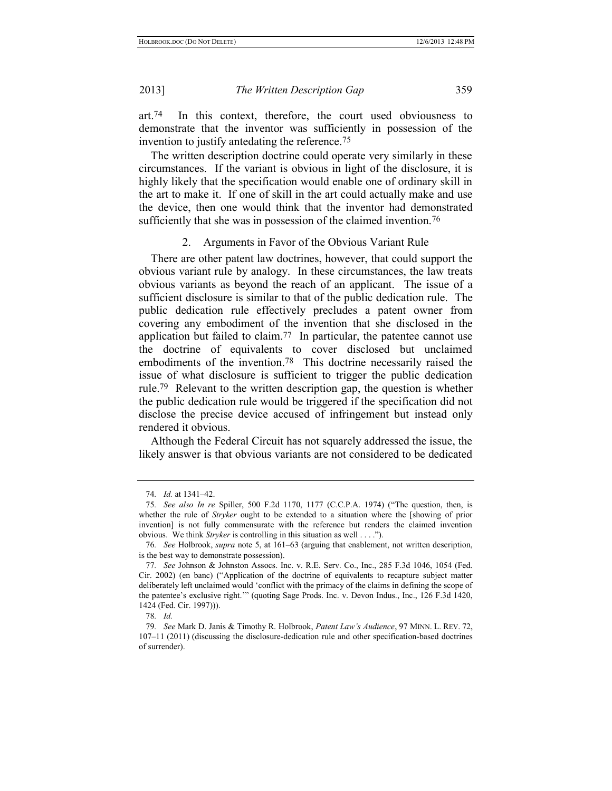art.74 In this context, therefore, the court used obviousness to demonstrate that the inventor was sufficiently in possession of the invention to justify antedating the reference.75

The written description doctrine could operate very similarly in these circumstances. If the variant is obvious in light of the disclosure, it is highly likely that the specification would enable one of ordinary skill in the art to make it. If one of skill in the art could actually make and use the device, then one would think that the inventor had demonstrated sufficiently that she was in possession of the claimed invention.<sup>76</sup>

#### 2. Arguments in Favor of the Obvious Variant Rule

There are other patent law doctrines, however, that could support the obvious variant rule by analogy. In these circumstances, the law treats obvious variants as beyond the reach of an applicant. The issue of a sufficient disclosure is similar to that of the public dedication rule. The public dedication rule effectively precludes a patent owner from covering any embodiment of the invention that she disclosed in the application but failed to claim.<sup>77</sup> In particular, the patentee cannot use the doctrine of equivalents to cover disclosed but unclaimed embodiments of the invention.78 This doctrine necessarily raised the issue of what disclosure is sufficient to trigger the public dedication rule.79 Relevant to the written description gap, the question is whether the public dedication rule would be triggered if the specification did not disclose the precise device accused of infringement but instead only rendered it obvious.

Although the Federal Circuit has not squarely addressed the issue, the likely answer is that obvious variants are not considered to be dedicated

<sup>74</sup>*. Id.* at 1341–42.

<sup>75</sup>*. See also In re* Spiller, 500 F.2d 1170, 1177 (C.C.P.A. 1974) ("The question, then, is whether the rule of *Stryker* ought to be extended to a situation where the [showing of prior invention] is not fully commensurate with the reference but renders the claimed invention obvious. We think *Stryker* is controlling in this situation as well . . . .").

<sup>76</sup>*. See* Holbrook, *supra* note [5,](#page-3-0) at 161–63 (arguing that enablement, not written description, is the best way to demonstrate possession).

<sup>77</sup>*. See* Johnson & Johnston Assocs. Inc. v. R.E. Serv. Co., Inc., 285 F.3d 1046, 1054 (Fed. Cir. 2002) (en banc) ("Application of the doctrine of equivalents to recapture subject matter deliberately left unclaimed would 'conflict with the primacy of the claims in defining the scope of the patentee's exclusive right.'" (quoting Sage Prods. Inc. v. Devon Indus., Inc., 126 F.3d 1420, 1424 (Fed. Cir. 1997))).

<sup>78</sup>*. Id.*

<sup>79</sup>*. See* Mark D. Janis & Timothy R. Holbrook, *Patent Law's Audience*, 97 MINN. L. REV. 72, 107–11 (2011) (discussing the disclosure-dedication rule and other specification-based doctrines of surrender).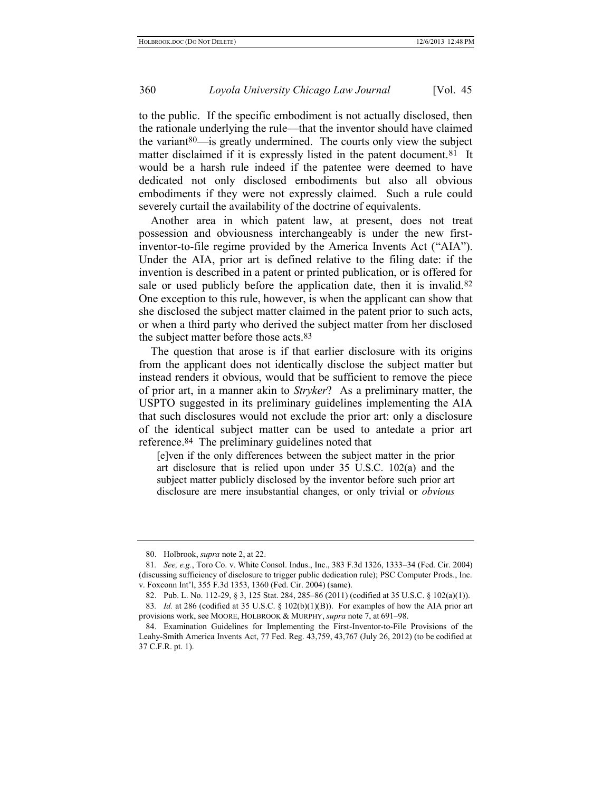to the public. If the specific embodiment is not actually disclosed, then the rationale underlying the rule—that the inventor should have claimed the variant80—is greatly undermined. The courts only view the subject matter disclaimed if it is expressly listed in the patent document.<sup>81</sup> It would be a harsh rule indeed if the patentee were deemed to have dedicated not only disclosed embodiments but also all obvious embodiments if they were not expressly claimed. Such a rule could severely curtail the availability of the doctrine of equivalents.

Another area in which patent law, at present, does not treat possession and obviousness interchangeably is under the new firstinventor-to-file regime provided by the America Invents Act ("AIA"). Under the AIA, prior art is defined relative to the filing date: if the invention is described in a patent or printed publication, or is offered for sale or used publicly before the application date, then it is invalid.<sup>82</sup> One exception to this rule, however, is when the applicant can show that she disclosed the subject matter claimed in the patent prior to such acts, or when a third party who derived the subject matter from her disclosed the subject matter before those acts.<sup>83</sup>

The question that arose is if that earlier disclosure with its origins from the applicant does not identically disclose the subject matter but instead renders it obvious, would that be sufficient to remove the piece of prior art, in a manner akin to *Stryker*? As a preliminary matter, the USPTO suggested in its preliminary guidelines implementing the AIA that such disclosures would not exclude the prior art: only a disclosure of the identical subject matter can be used to antedate a prior art reference.84 The preliminary guidelines noted that

[e]ven if the only differences between the subject matter in the prior art disclosure that is relied upon under 35 U.S.C. 102(a) and the subject matter publicly disclosed by the inventor before such prior art disclosure are mere insubstantial changes, or only trivial or *obvious* 

<sup>80.</sup> Holbrook, *supra* not[e 2,](#page-3-1) at 22.

<sup>81</sup>*. See, e.g.*, Toro Co. v. White Consol. Indus., Inc., 383 F.3d 1326, 1333–34 (Fed. Cir. 2004) (discussing sufficiency of disclosure to trigger public dedication rule); PSC Computer Prods., Inc. v. Foxconn Int'l, 355 F.3d 1353, 1360 (Fed. Cir. 2004) (same).

<sup>82.</sup> Pub. L. No. 112-29, § 3, 125 Stat. 284, 285–86 (2011) (codified at 35 U.S.C. § 102(a)(1)).

<sup>83.</sup> *Id.* at 286 (codified at 35 U.S.C. § 102(b)(1)(B)). For examples of how the AIA prior art provisions work, see MOORE, HOLBROOK & MURPHY, *supra* note [7,](#page-4-0) at 691–98.

<sup>84.</sup> Examination Guidelines for Implementing the First-Inventor-to-File Provisions of the Leahy-Smith America Invents Act, 77 Fed. Reg. 43,759, 43,767 (July 26, 2012) (to be codified at 37 C.F.R. pt. 1).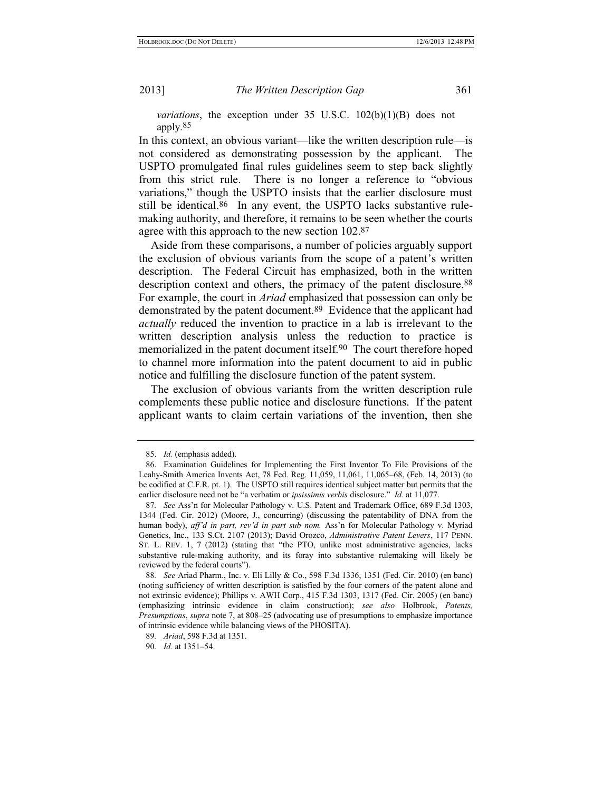*variations*, the exception under 35 U.S.C. 102(b)(1)(B) does not apply.85

In this context, an obvious variant—like the written description rule—is not considered as demonstrating possession by the applicant. The USPTO promulgated final rules guidelines seem to step back slightly from this strict rule. There is no longer a reference to "obvious variations," though the USPTO insists that the earlier disclosure must still be identical.<sup>86</sup> In any event, the USPTO lacks substantive rulemaking authority, and therefore, it remains to be seen whether the courts agree with this approach to the new section 102.87

Aside from these comparisons, a number of policies arguably support the exclusion of obvious variants from the scope of a patent's written description. The Federal Circuit has emphasized, both in the written description context and others, the primacy of the patent disclosure.<sup>88</sup> For example, the court in *Ariad* emphasized that possession can only be demonstrated by the patent document.89 Evidence that the applicant had *actually* reduced the invention to practice in a lab is irrelevant to the written description analysis unless the reduction to practice is memorialized in the patent document itself.90 The court therefore hoped to channel more information into the patent document to aid in public notice and fulfilling the disclosure function of the patent system.

The exclusion of obvious variants from the written description rule complements these public notice and disclosure functions. If the patent applicant wants to claim certain variations of the invention, then she

<sup>85.</sup> *Id.* (emphasis added).

<sup>86.</sup> Examination Guidelines for Implementing the First Inventor To File Provisions of the Leahy-Smith America Invents Act, 78 Fed. Reg. 11,059, 11,061, 11,065–68, (Feb. 14, 2013) (to be codified at C.F.R. pt. 1). The USPTO still requires identical subject matter but permits that the earlier disclosure need not be "a verbatim or *ipsissimis verbis* disclosure." *Id.* at 11,077.

<sup>87</sup>*. See* Ass'n for Molecular Pathology v. U.S. Patent and Trademark Office, 689 F.3d 1303, 1344 (Fed. Cir. 2012) (Moore, J., concurring) (discussing the patentability of DNA from the human body), *aff'd in part, rev'd in part sub nom.* Ass'n for Molecular Pathology v. Myriad Genetics, Inc., 133 S.Ct. 2107 (2013); David Orozco, *Administrative Patent Levers*, 117 PENN. ST. L. REV. 1, 7 (2012) (stating that "the PTO, unlike most administrative agencies, lacks substantive rule-making authority, and its foray into substantive rulemaking will likely be reviewed by the federal courts").

<sup>88</sup>*. See* Ariad Pharm., Inc. v. Eli Lilly & Co., 598 F.3d 1336, 1351 (Fed. Cir. 2010) (en banc) (noting sufficiency of written description is satisfied by the four corners of the patent alone and not extrinsic evidence); Phillips v. AWH Corp., 415 F.3d 1303, 1317 (Fed. Cir. 2005) (en banc) (emphasizing intrinsic evidence in claim construction); *see also* Holbrook, *Patents, Presumptions*, *supra* note [7,](#page-4-0) at 808–25 (advocating use of presumptions to emphasize importance of intrinsic evidence while balancing views of the PHOSITA).

<sup>89</sup>*. Ariad*, 598 F.3d at 1351.

<sup>90</sup>*. Id.* at 1351–54.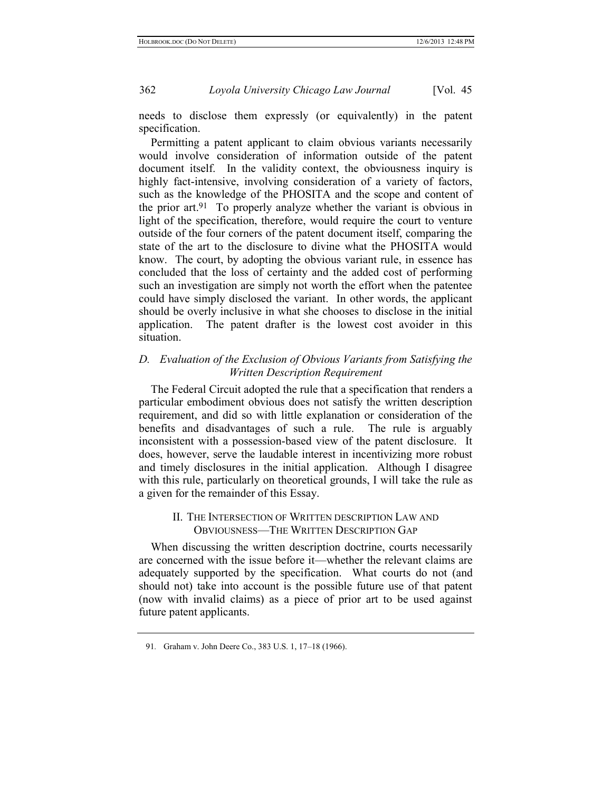needs to disclose them expressly (or equivalently) in the patent specification.

Permitting a patent applicant to claim obvious variants necessarily would involve consideration of information outside of the patent document itself. In the validity context, the obviousness inquiry is highly fact-intensive, involving consideration of a variety of factors, such as the knowledge of the PHOSITA and the scope and content of the prior art.91 To properly analyze whether the variant is obvious in light of the specification, therefore, would require the court to venture outside of the four corners of the patent document itself, comparing the state of the art to the disclosure to divine what the PHOSITA would know. The court, by adopting the obvious variant rule, in essence has concluded that the loss of certainty and the added cost of performing such an investigation are simply not worth the effort when the patentee could have simply disclosed the variant. In other words, the applicant should be overly inclusive in what she chooses to disclose in the initial application. The patent drafter is the lowest cost avoider in this situation.

#### *D. Evaluation of the Exclusion of Obvious Variants from Satisfying the Written Description Requirement*

The Federal Circuit adopted the rule that a specification that renders a particular embodiment obvious does not satisfy the written description requirement, and did so with little explanation or consideration of the benefits and disadvantages of such a rule. The rule is arguably inconsistent with a possession-based view of the patent disclosure. It does, however, serve the laudable interest in incentivizing more robust and timely disclosures in the initial application. Although I disagree with this rule, particularly on theoretical grounds, I will take the rule as a given for the remainder of this Essay.

#### II. THE INTERSECTION OF WRITTEN DESCRIPTION LAW AND OBVIOUSNESS—THE WRITTEN DESCRIPTION GAP

When discussing the written description doctrine, courts necessarily are concerned with the issue before it—whether the relevant claims are adequately supported by the specification. What courts do not (and should not) take into account is the possible future use of that patent (now with invalid claims) as a piece of prior art to be used against future patent applicants.

<sup>91</sup>*.* Graham v. John Deere Co., 383 U.S. 1, 17–18 (1966).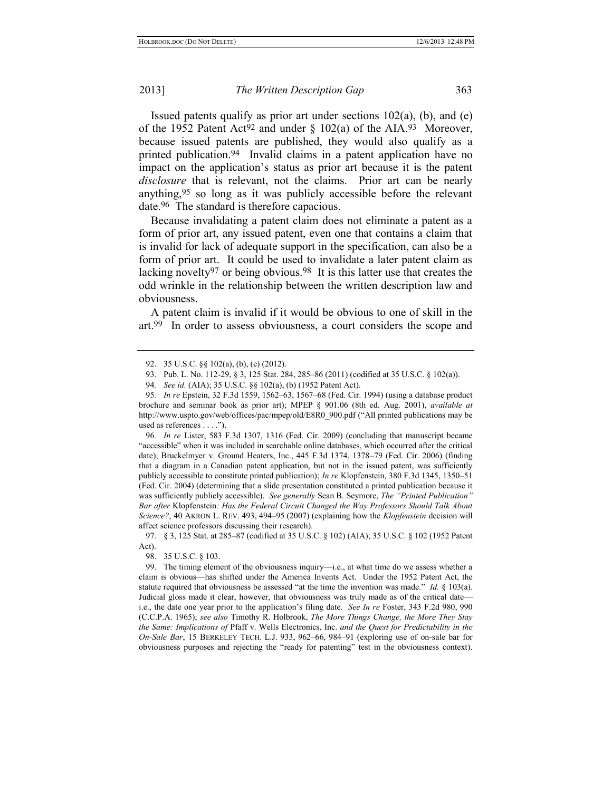Issued patents qualify as prior art under sections  $102(a)$ , (b), and (e) of the 1952 Patent Act<sup>92</sup> and under  $\S$  102(a) of the AIA.<sup>93</sup> Moreover, because issued patents are published, they would also qualify as a printed publication.94 Invalid claims in a patent application have no impact on the application's status as prior art because it is the patent *disclosure* that is relevant, not the claims. Prior art can be nearly anything,95 so long as it was publicly accessible before the relevant date.96 The standard is therefore capacious.

Because invalidating a patent claim does not eliminate a patent as a form of prior art, any issued patent, even one that contains a claim that is invalid for lack of adequate support in the specification, can also be a form of prior art. It could be used to invalidate a later patent claim as lacking novelty97 or being obvious.98 It is this latter use that creates the odd wrinkle in the relationship between the written description law and obviousness.

A patent claim is invalid if it would be obvious to one of skill in the art.99 In order to assess obviousness, a court considers the scope and

96*. In re* Lister, 583 F.3d 1307, 1316 (Fed. Cir. 2009) (concluding that manuscript became "accessible" when it was included in searchable online databases, which occurred after the critical date); Bruckelmyer v. Ground Heaters, Inc., 445 F.3d 1374, 1378–79 (Fed. Cir. 2006) (finding that a diagram in a Canadian patent application, but not in the issued patent, was sufficiently publicly accessible to constitute printed publication); *In re* Klopfenstein, 380 F.3d 1345, 1350–51 (Fed. Cir. 2004) (determining that a slide presentation constituted a printed publication because it was sufficiently publicly accessible). *See generally* Sean B. Seymore, *The "Printed Publication" Bar after* Klopfenstein*: Has the Federal Circuit Changed the Way Professors Should Talk About Science?*, 40 AKRON L. REV. 493, 494–95 (2007) (explaining how the *Klopfenstein* decision will affect science professors discussing their research).

97. § 3, 125 Stat. at 285–87 (codified at 35 U.S.C. § 102) (AIA); 35 U.S.C. § 102 (1952 Patent Act).

98. 35 U.S.C. § 103.

<sup>92.</sup> 35 U.S.C. §§ 102(a), (b), (e) (2012).

<sup>93.</sup> Pub. L. No. 112-29, § 3, 125 Stat. 284, 285–86 (2011) (codified at 35 U.S.C. § 102(a)).

<sup>94</sup>*. See id.* (AIA); 35 U.S.C. §§ 102(a), (b) (1952 Patent Act).

<sup>95</sup>*. In re* Epstein, 32 F.3d 1559, 1562–63, 1567–68 (Fed. Cir. 1994) (using a database product brochure and seminar book as prior art); MPEP § 901.06 (8th ed. Aug. 2001), *available at*  http://www.uspto.gov/web/offices/pac/mpep/old/E8R0\_900.pdf ("All printed publications may be used as references . . . .").

<sup>99.</sup> The timing element of the obviousness inquiry—i.e., at what time do we assess whether a claim is obvious—has shifted under the America Invents Act. Under the 1952 Patent Act, the statute required that obviousness be assessed "at the time the invention was made." *Id.* § 103(a). Judicial gloss made it clear, however, that obviousness was truly made as of the critical date i.e., the date one year prior to the application's filing date. *See In re* Foster, 343 F.2d 980, 990 (C.C.P.A. 1965); *see also* Timothy R. Holbrook, *The More Things Change, the More They Stay the Same: Implications of* Pfaff v. Wells Electronics, Inc. *and the Quest for Predictability in the On-Sale Bar*, 15 BERKELEY TECH. L.J. 933, 962–66, 984–91 (exploring use of on-sale bar for obviousness purposes and rejecting the "ready for patenting" test in the obviousness context).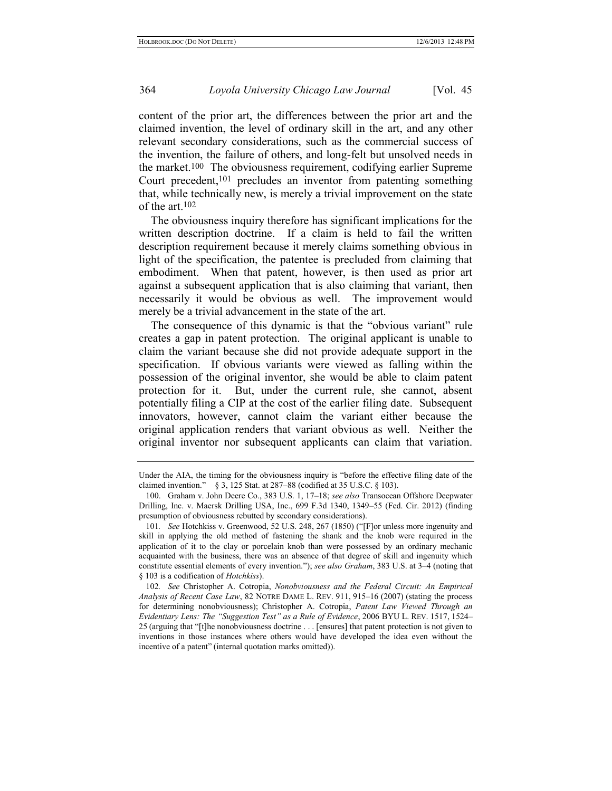content of the prior art, the differences between the prior art and the claimed invention, the level of ordinary skill in the art, and any other relevant secondary considerations, such as the commercial success of the invention, the failure of others, and long-felt but unsolved needs in the market.100 The obviousness requirement, codifying earlier Supreme Court precedent,<sup>101</sup> precludes an inventor from patenting something that, while technically new, is merely a trivial improvement on the state of the art.102

The obviousness inquiry therefore has significant implications for the written description doctrine. If a claim is held to fail the written description requirement because it merely claims something obvious in light of the specification, the patentee is precluded from claiming that embodiment. When that patent, however, is then used as prior art against a subsequent application that is also claiming that variant, then necessarily it would be obvious as well. The improvement would merely be a trivial advancement in the state of the art.

The consequence of this dynamic is that the "obvious variant" rule creates a gap in patent protection. The original applicant is unable to claim the variant because she did not provide adequate support in the specification. If obvious variants were viewed as falling within the possession of the original inventor, she would be able to claim patent protection for it. But, under the current rule, she cannot, absent potentially filing a CIP at the cost of the earlier filing date. Subsequent innovators, however, cannot claim the variant either because the original application renders that variant obvious as well. Neither the original inventor nor subsequent applicants can claim that variation.

Under the AIA, the timing for the obviousness inquiry is "before the effective filing date of the claimed invention." § 3, 125 Stat. at 287–88 (codified at 35 U.S.C. § 103).

<sup>100.</sup> Graham v. John Deere Co., 383 U.S. 1, 17–18; *see also* Transocean Offshore Deepwater Drilling, Inc. v. Maersk Drilling USA, Inc., 699 F.3d 1340, 1349–55 (Fed. Cir. 2012) (finding presumption of obviousness rebutted by secondary considerations).

<sup>101</sup>*. See* Hotchkiss v. Greenwood, 52 U.S. 248, 267 (1850) ("[F]or unless more ingenuity and skill in applying the old method of fastening the shank and the knob were required in the application of it to the clay or porcelain knob than were possessed by an ordinary mechanic acquainted with the business, there was an absence of that degree of skill and ingenuity which constitute essential elements of every invention."); *see also Graham*, 383 U.S. at 3–4 (noting that § 103 is a codification of *Hotchkiss*).

<sup>102</sup>*. See* Christopher A. Cotropia, *Nonobviousness and the Federal Circuit: An Empirical Analysis of Recent Case Law*, 82 NOTRE DAME L. REV. 911, 915–16 (2007) (stating the process for determining nonobviousness); Christopher A. Cotropia, *Patent Law Viewed Through an Evidentiary Lens: The "Suggestion Test" as a Rule of Evidence*, 2006 BYU L. REV. 1517, 1524– 25 (arguing that "[t]he nonobviousness doctrine . . . [ensures] that patent protection is not given to inventions in those instances where others would have developed the idea even without the incentive of a patent" (internal quotation marks omitted)).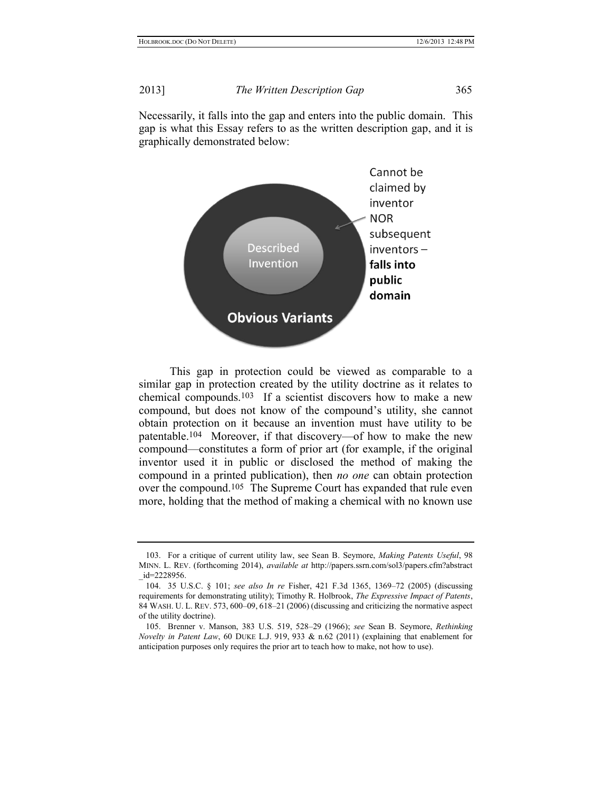Necessarily, it falls into the gap and enters into the public domain. This gap is what this Essay refers to as the written description gap, and it is graphically demonstrated below:



This gap in protection could be viewed as comparable to a similar gap in protection created by the utility doctrine as it relates to chemical compounds.103 If a scientist discovers how to make a new compound, but does not know of the compound's utility, she cannot obtain protection on it because an invention must have utility to be patentable.104 Moreover, if that discovery—of how to make the new compound—constitutes a form of prior art (for example, if the original inventor used it in public or disclosed the method of making the compound in a printed publication), then *no one* can obtain protection over the compound.105 The Supreme Court has expanded that rule even more, holding that the method of making a chemical with no known use

<sup>103.</sup> For a critique of current utility law, see Sean B. Seymore, *Making Patents Useful*, 98 MINN. L. REV. (forthcoming 2014), *available at* http://papers.ssrn.com/sol3/papers.cfm?abstract \_id=2228956.

<sup>104.</sup> 35 U.S.C. § 101; *see also In re* Fisher, 421 F.3d 1365, 1369–72 (2005) (discussing requirements for demonstrating utility); Timothy R. Holbrook, *The Expressive Impact of Patents*, 84 WASH. U. L. REV. 573, 600–09, 618–21 (2006) (discussing and criticizing the normative aspect of the utility doctrine).

<sup>105.</sup> Brenner v. Manson, 383 U.S. 519, 528–29 (1966); *see* Sean B. Seymore, *Rethinking Novelty in Patent Law*, 60 DUKE L.J. 919, 933 & n.62 (2011) (explaining that enablement for anticipation purposes only requires the prior art to teach how to make, not how to use).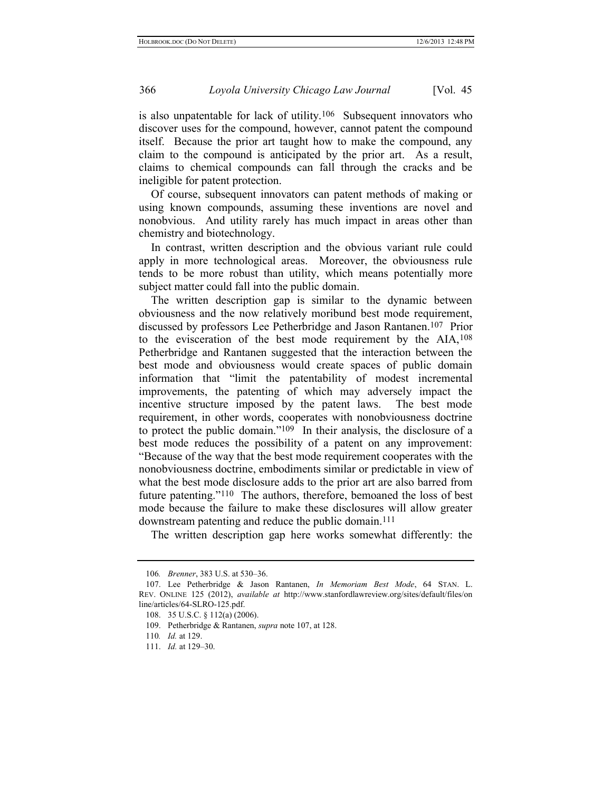is also unpatentable for lack of utility.106 Subsequent innovators who discover uses for the compound, however, cannot patent the compound itself. Because the prior art taught how to make the compound, any claim to the compound is anticipated by the prior art. As a result, claims to chemical compounds can fall through the cracks and be ineligible for patent protection.

Of course, subsequent innovators can patent methods of making or using known compounds, assuming these inventions are novel and nonobvious. And utility rarely has much impact in areas other than chemistry and biotechnology.

In contrast, written description and the obvious variant rule could apply in more technological areas. Moreover, the obviousness rule tends to be more robust than utility, which means potentially more subject matter could fall into the public domain.

<span id="page-22-0"></span>The written description gap is similar to the dynamic between obviousness and the now relatively moribund best mode requirement, discussed by professors Lee Petherbridge and Jason Rantanen.107 Prior to the evisceration of the best mode requirement by the AIA,108 Petherbridge and Rantanen suggested that the interaction between the best mode and obviousness would create spaces of public domain information that "limit the patentability of modest incremental improvements, the patenting of which may adversely impact the incentive structure imposed by the patent laws. The best mode requirement, in other words, cooperates with nonobviousness doctrine to protect the public domain."109 In their analysis, the disclosure of a best mode reduces the possibility of a patent on any improvement: "Because of the way that the best mode requirement cooperates with the nonobviousness doctrine, embodiments similar or predictable in view of what the best mode disclosure adds to the prior art are also barred from future patenting."110 The authors, therefore, bemoaned the loss of best mode because the failure to make these disclosures will allow greater downstream patenting and reduce the public domain.111

The written description gap here works somewhat differently: the

<sup>106</sup>*. Brenner*, 383 U.S. at 530–36.

<sup>107.</sup> Lee Petherbridge & Jason Rantanen, *In Memoriam Best Mode*, 64 STAN. L. REV. ONLINE 125 (2012), *available at* http://www.stanfordlawreview.org/sites/default/files/on line/articles/64-SLRO-125.pdf.

<sup>108.</sup> 35 U.S.C. § 112(a) (2006).

<sup>109.</sup> Petherbridge & Rantanen, *supra* note [107,](#page-22-0) at 128.

<sup>110</sup>*. Id.* at 129.

<sup>111.</sup> *Id.* at 129–30.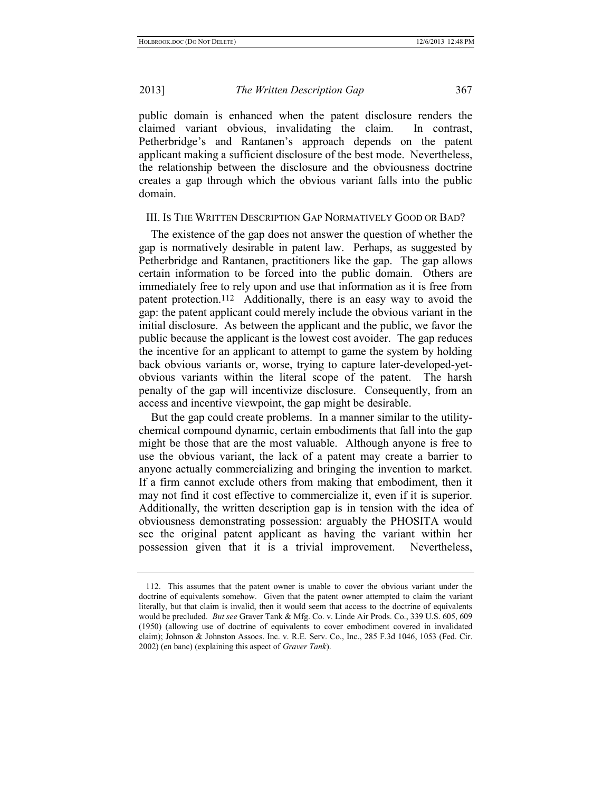public domain is enhanced when the patent disclosure renders the claimed variant obvious, invalidating the claim. In contrast, Petherbridge's and Rantanen's approach depends on the patent applicant making a sufficient disclosure of the best mode. Nevertheless, the relationship between the disclosure and the obviousness doctrine creates a gap through which the obvious variant falls into the public domain.

#### III. IS THE WRITTEN DESCRIPTION GAP NORMATIVELY GOOD OR BAD?

The existence of the gap does not answer the question of whether the gap is normatively desirable in patent law. Perhaps, as suggested by Petherbridge and Rantanen, practitioners like the gap. The gap allows certain information to be forced into the public domain. Others are immediately free to rely upon and use that information as it is free from patent protection.112 Additionally, there is an easy way to avoid the gap: the patent applicant could merely include the obvious variant in the initial disclosure. As between the applicant and the public, we favor the public because the applicant is the lowest cost avoider. The gap reduces the incentive for an applicant to attempt to game the system by holding back obvious variants or, worse, trying to capture later-developed-yetobvious variants within the literal scope of the patent. The harsh penalty of the gap will incentivize disclosure. Consequently, from an access and incentive viewpoint, the gap might be desirable.

But the gap could create problems. In a manner similar to the utilitychemical compound dynamic, certain embodiments that fall into the gap might be those that are the most valuable. Although anyone is free to use the obvious variant, the lack of a patent may create a barrier to anyone actually commercializing and bringing the invention to market. If a firm cannot exclude others from making that embodiment, then it may not find it cost effective to commercialize it, even if it is superior. Additionally, the written description gap is in tension with the idea of obviousness demonstrating possession: arguably the PHOSITA would see the original patent applicant as having the variant within her possession given that it is a trivial improvement. Nevertheless,

<sup>112.</sup> This assumes that the patent owner is unable to cover the obvious variant under the doctrine of equivalents somehow. Given that the patent owner attempted to claim the variant literally, but that claim is invalid, then it would seem that access to the doctrine of equivalents would be precluded. *But see* Graver Tank & Mfg. Co. v. Linde Air Prods. Co., 339 U.S. 605, 609 (1950) (allowing use of doctrine of equivalents to cover embodiment covered in invalidated claim); Johnson & Johnston Assocs. Inc. v. R.E. Serv. Co., Inc., 285 F.3d 1046, 1053 (Fed. Cir. 2002) (en banc) (explaining this aspect of *Graver Tank*).